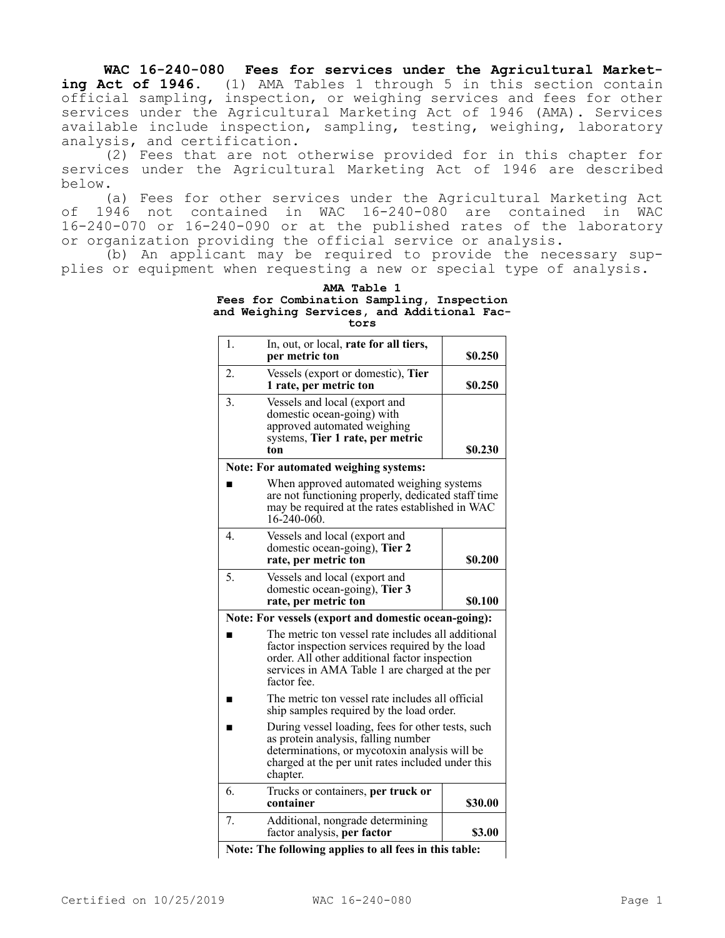**WAC 16-240-080 Fees for services under the Agricultural Marketing Act of 1946.** (1) AMA Tables 1 through 5 in this section contain official sampling, inspection, or weighing services and fees for other services under the Agricultural Marketing Act of 1946 (AMA). Services available include inspection, sampling, testing, weighing, laboratory analysis, and certification.

(2) Fees that are not otherwise provided for in this chapter for services under the Agricultural Marketing Act of 1946 are described below.

(a) Fees for other services under the Agricultural Marketing Act of 1946 not contained in WAC 16-240-080 are contained in WAC 16-240-070 or 16-240-090 or at the published rates of the laboratory or organization providing the official service or analysis.

(b) An applicant may be required to provide the necessary supplies or equipment when requesting a new or special type of analysis.

| AMA Table 1                                |  |  |  |
|--------------------------------------------|--|--|--|
| Fees for Combination Sampling, Inspection  |  |  |  |
| and Weighing Services, and Additional Fac- |  |  |  |
| tors                                       |  |  |  |

| 1. | In, out, or local, rate for all tiers,<br>per metric ton                                                                                                                                                                | \$0.250 |  |
|----|-------------------------------------------------------------------------------------------------------------------------------------------------------------------------------------------------------------------------|---------|--|
| 2. | Vessels (export or domestic), Tier<br>1 rate, per metric ton                                                                                                                                                            | \$0.250 |  |
| 3. | Vessels and local (export and<br>domestic ocean-going) with<br>approved automated weighing<br>systems, Tier 1 rate, per metric<br>ton                                                                                   | \$0.230 |  |
|    | Note: For automated weighing systems:                                                                                                                                                                                   |         |  |
|    | When approved automated weighing systems<br>are not functioning properly, dedicated staff time<br>may be required at the rates established in WAC<br>$16 - 240 - 060$ .                                                 |         |  |
| 4. | Vessels and local (export and<br>domestic ocean-going), Tier 2<br>rate, per metric ton                                                                                                                                  | \$0.200 |  |
| 5. | Vessels and local (export and<br>domestic ocean-going), Tier 3<br>rate, per metric ton                                                                                                                                  | \$0.100 |  |
|    | Note: For vessels (export and domestic ocean-going):                                                                                                                                                                    |         |  |
|    | The metric ton vessel rate includes all additional<br>factor inspection services required by the load<br>order. All other additional factor inspection<br>services in AMA Table 1 are charged at the per<br>factor fee. |         |  |
|    | The metric ton vessel rate includes all official<br>ship samples required by the load order.                                                                                                                            |         |  |
|    | During vessel loading, fees for other tests, such<br>as protein analysis, falling number<br>determinations, or mycotoxin analysis will be<br>charged at the per unit rates included under this<br>chapter.              |         |  |
| 6. | Trucks or containers, per truck or<br>container                                                                                                                                                                         | \$30.00 |  |
| 7. | Additional, nongrade determining<br>factor analysis, per factor                                                                                                                                                         | \$3.00  |  |

**Note: The following applies to all fees in this table:**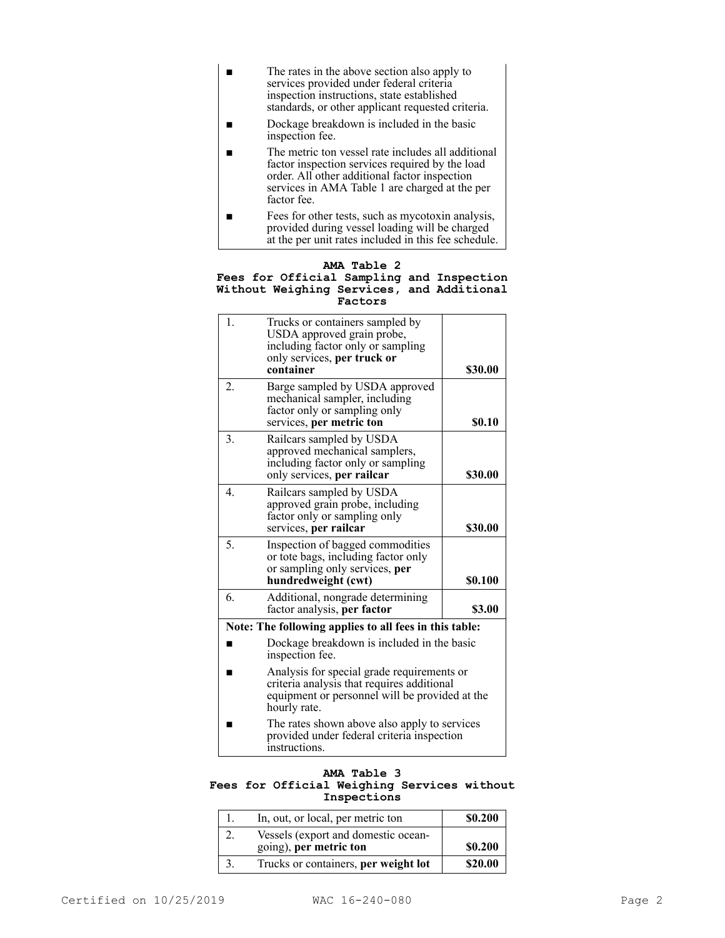- The rates in the above section also apply to services provided under federal criteria inspection instructions, state established standards, or other applicant requested criteria.
- Dockage breakdown is included in the basic inspection fee.
- The metric ton vessel rate includes all additional factor inspection services required by the load order. All other additional factor inspection services in AMA Table 1 are charged at the per factor fee.
- Fees for other tests, such as mycotoxin analysis, provided during vessel loading will be charged at the per unit rates included in this fee schedule.

## **AMA Table 2**

## **Fees for Official Sampling and Inspection Without Weighing Services, and Additional Factors**

| 1.                                                     | Trucks or containers sampled by<br>USDA approved grain probe,<br>including factor only or sampling<br>only services, per truck or<br>container             | \$30.00 |
|--------------------------------------------------------|------------------------------------------------------------------------------------------------------------------------------------------------------------|---------|
| 2.                                                     | Barge sampled by USDA approved<br>mechanical sampler, including<br>factor only or sampling only<br>services, per metric ton                                | \$0.10  |
| 3.                                                     | Railcars sampled by USDA<br>approved mechanical samplers,<br>including factor only or sampling<br>only services, per railcar                               | \$30.00 |
| 4.                                                     | Railcars sampled by USDA<br>approved grain probe, including<br>factor only or sampling only<br>services, per railcar                                       | \$30.00 |
| 5.                                                     | Inspection of bagged commodities<br>or tote bags, including factor only<br>or sampling only services, per<br>hundredweight (cwt)                           | \$0.100 |
| 6.                                                     | Additional, nongrade determining<br>factor analysis, per factor                                                                                            | \$3.00  |
| Note: The following applies to all fees in this table: |                                                                                                                                                            |         |
|                                                        | Dockage breakdown is included in the basic<br>inspection fee.                                                                                              |         |
|                                                        | Analysis for special grade requirements or<br>criteria analysis that requires additional<br>equipment or personnel will be provided at the<br>hourly rate. |         |
|                                                        | The rates shown above also apply to services<br>provided under federal criteria inspection<br>instructions.                                                |         |

## **AMA Table 3 Fees for Official Weighing Services without Inspections**

| In, out, or local, per metric ton                             | \$0.200 |
|---------------------------------------------------------------|---------|
| Vessels (export and domestic ocean-<br>going), per metric ton | \$0.200 |
| Trucks or containers, per weight lot                          | \$20.00 |